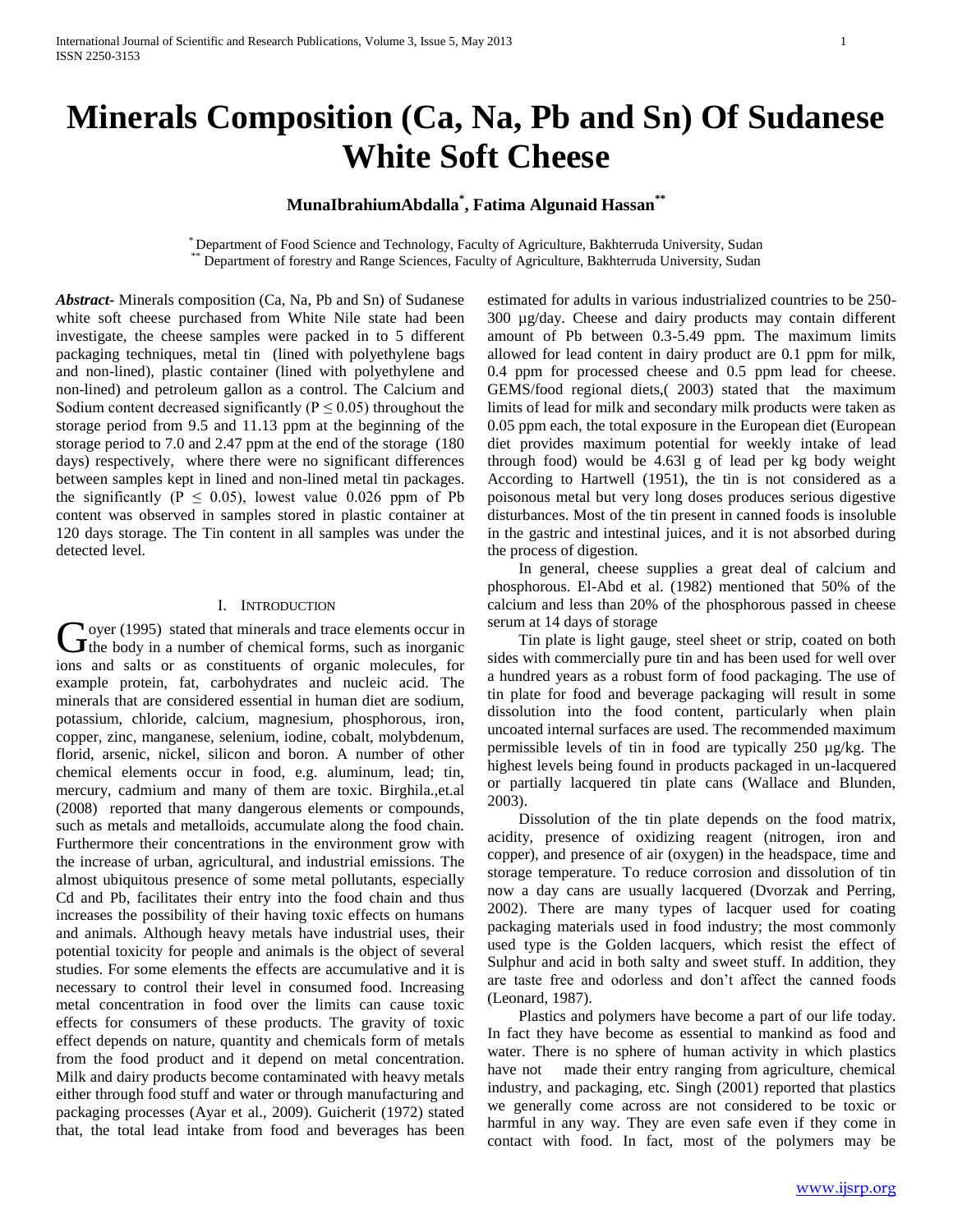# **Minerals Composition (Ca, Na, Pb and Sn) Of Sudanese White Soft Cheese**

# **MunaIbrahiumAbdalla\* , Fatima Algunaid Hassan\*\***

\* Department of Food Science and Technology, Faculty of Agriculture, Bakhterruda University, Sudan Department of forestry and Range Sciences, Faculty of Agriculture, Bakhterruda University, Sudan

*Abstract***-** Minerals composition (Ca, Na, Pb and Sn) of Sudanese white soft cheese purchased from White Nile state had been investigate, the cheese samples were packed in to 5 different packaging techniques, metal tin (lined with polyethylene bags and non-lined), plastic container (lined with polyethylene and non-lined) and petroleum gallon as a control. The Calcium and Sodium content decreased significantly ( $P \le 0.05$ ) throughout the storage period from 9.5 and 11.13 ppm at the beginning of the storage period to 7.0 and 2.47 ppm at the end of the storage (180 days) respectively, where there were no significant differences between samples kept in lined and non-lined metal tin packages. the significantly ( $P \le 0.05$ ), lowest value 0.026 ppm of Pb content was observed in samples stored in plastic container at 120 days storage. The Tin content in all samples was under the detected level*.*

#### I. INTRODUCTION

 $\gamma$  oyer (1995) stated that minerals and trace elements occur in Goyer (1995) stated that minerals and trace elements occur in<br>the body in a number of chemical forms, such as inorganic ions and salts or as constituents of organic molecules, for example protein, fat, carbohydrates and nucleic acid. The minerals that are considered essential in human diet are sodium, potassium, chloride, calcium, magnesium, phosphorous, iron, copper, zinc, manganese, selenium, iodine, cobalt, molybdenum, florid, arsenic, nickel, silicon and boron. A number of other chemical elements occur in food, e.g. aluminum, lead; tin, mercury, cadmium and many of them are toxic. Birghila.,et.al (2008) reported that many dangerous elements or compounds, such as metals and metalloids, accumulate along the food chain. Furthermore their concentrations in the environment grow with the increase of urban, agricultural, and industrial emissions. The almost ubiquitous presence of some metal pollutants, especially Cd and Pb, facilitates their entry into the food chain and thus increases the possibility of their having toxic effects on humans and animals. Although heavy metals have industrial uses, their potential toxicity for people and animals is the object of several studies. For some elements the effects are accumulative and it is necessary to control their level in consumed food. Increasing metal concentration in food over the limits can cause toxic effects for consumers of these products. The gravity of toxic effect depends on nature, quantity and chemicals form of metals from the food product and it depend on metal concentration. Milk and dairy products become contaminated with heavy metals either through food stuff and water or through manufacturing and packaging processes (Ayar et al., 2009). Guicherit (1972) stated that, the total lead intake from food and beverages has been

estimated for adults in various industrialized countries to be 250- 300 µg/day. Cheese and dairy products may contain different amount of Pb between 0.3-5.49 ppm. The maximum limits allowed for lead content in dairy product are 0.1 ppm for milk, 0.4 ppm for processed cheese and 0.5 ppm lead for cheese. GEMS/food regional diets,( 2003) stated that the maximum limits of lead for milk and secondary milk products were taken as 0.05 ppm each, the total exposure in the European diet (European diet provides maximum potential for weekly intake of lead through food) would be 4.63l g of lead per kg body weight According to Hartwell (1951), the tin is not considered as a poisonous metal but very long doses produces serious digestive disturbances. Most of the tin present in canned foods is insoluble in the gastric and intestinal juices, and it is not absorbed during the process of digestion.

 In general, cheese supplies a great deal of calcium and phosphorous. El-Abd et al. (1982) mentioned that 50% of the calcium and less than 20% of the phosphorous passed in cheese serum at 14 days of storage

 Tin plate is light gauge, steel sheet or strip, coated on both sides with commercially pure tin and has been used for well over a hundred years as a robust form of food packaging. The use of tin plate for food and beverage packaging will result in some dissolution into the food content, particularly when plain uncoated internal surfaces are used. The recommended maximum permissible levels of tin in food are typically 250 µg/kg. The highest levels being found in products packaged in un-lacquered or partially lacquered tin plate cans (Wallace and Blunden, 2003).

 Dissolution of the tin plate depends on the food matrix, acidity, presence of oxidizing reagent (nitrogen, iron and copper), and presence of air (oxygen) in the headspace, time and storage temperature. To reduce corrosion and dissolution of tin now a day cans are usually lacquered (Dvorzak and Perring, 2002). There are many types of lacquer used for coating packaging materials used in food industry; the most commonly used type is the Golden lacquers, which resist the effect of Sulphur and acid in both salty and sweet stuff. In addition, they are taste free and odorless and don't affect the canned foods (Leonard, 1987).

 Plastics and polymers have become a part of our life today. In fact they have become as essential to mankind as food and water. There is no sphere of human activity in which plastics have not made their entry ranging from agriculture, chemical industry, and packaging, etc. Singh (2001) reported that plastics we generally come across are not considered to be toxic or harmful in any way. They are even safe even if they come in contact with food. In fact, most of the polymers may be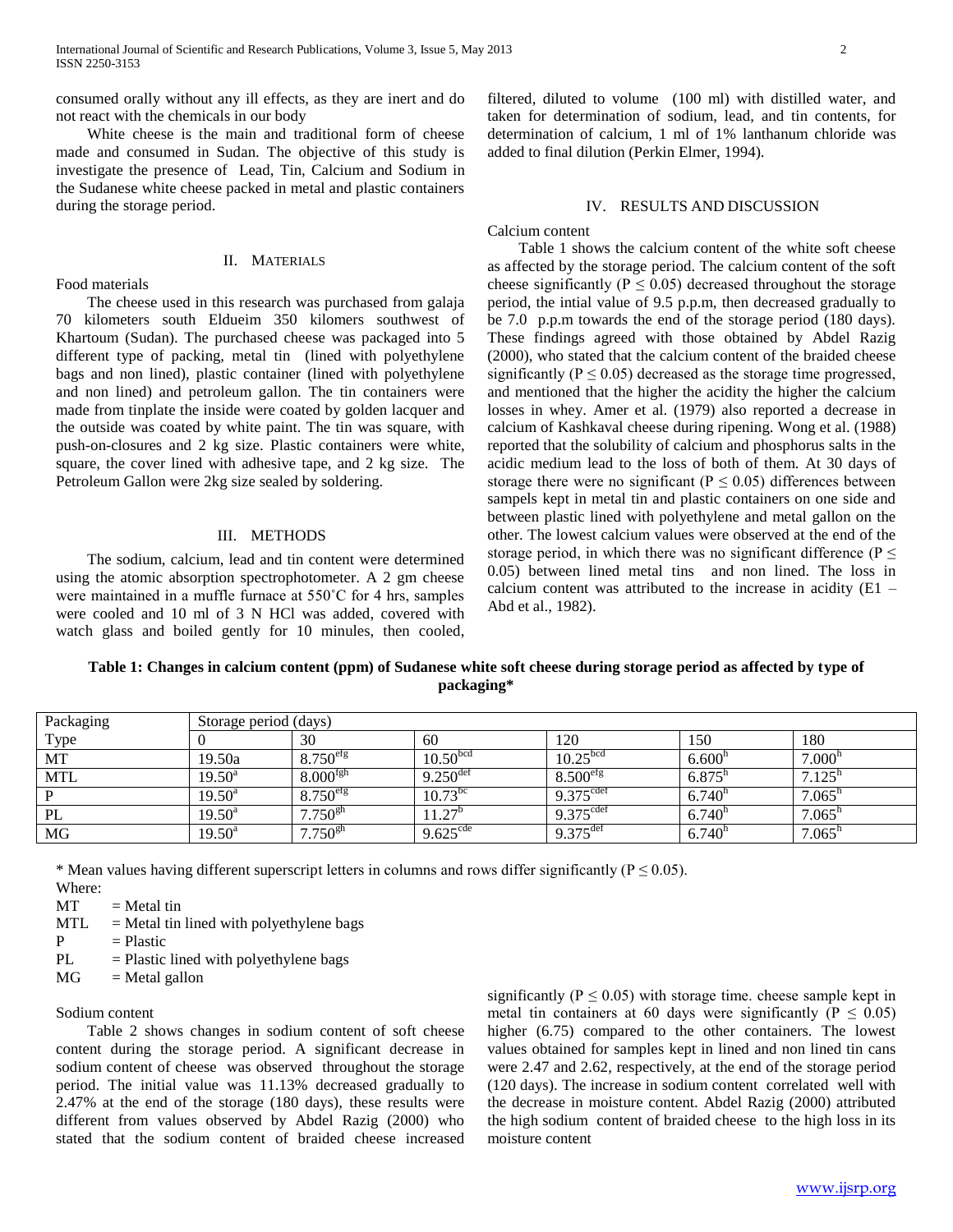consumed orally without any ill effects, as they are inert and do not react with the chemicals in our body

 White cheese is the main and traditional form of cheese made and consumed in Sudan. The objective of this study is investigate the presence of Lead, Tin, Calcium and Sodium in the Sudanese white cheese packed in metal and plastic containers during the storage period.

Food materials

## II. MATERIALS

 The cheese used in this research was purchased from galaja 70 kilometers south Eldueim 350 kilomers southwest of Khartoum (Sudan). The purchased cheese was packaged into 5 different type of packing, metal tin (lined with polyethylene bags and non lined), plastic container (lined with polyethylene and non lined) and petroleum gallon. The tin containers were made from tinplate the inside were coated by golden lacquer and the outside was coated by white paint. The tin was square, with push-on-closures and 2 kg size. Plastic containers were white, square, the cover lined with adhesive tape, and 2 kg size. The Petroleum Gallon were 2kg size sealed by soldering.

#### III. METHODS

 The sodium, calcium, lead and tin content were determined using the atomic absorption spectrophotometer. A 2 gm cheese were maintained in a muffle furnace at 550˚C for 4 hrs, samples were cooled and 10 ml of 3 N HCl was added, covered with watch glass and boiled gently for 10 minules, then cooled, filtered, diluted to volume (100 ml) with distilled water, and taken for determination of sodium, lead, and tin contents, for determination of calcium, 1 ml of 1% lanthanum chloride was added to final dilution (Perkin Elmer, 1994).

### IV. RESULTS AND DISCUSSION

Calcium content

 Table 1 shows the calcium content of the white soft cheese as affected by the storage period. The calcium content of the soft cheese significantly ( $P \le 0.05$ ) decreased throughout the storage period, the intial value of 9.5 p.p.m, then decreased gradually to be 7.0 p.p.m towards the end of the storage period (180 days). These findings agreed with those obtained by Abdel Razig (2000), who stated that the calcium content of the braided cheese significantly ( $P \le 0.05$ ) decreased as the storage time progressed, and mentioned that the higher the acidity the higher the calcium losses in whey. Amer et al. (1979) also reported a decrease in calcium of Kashkaval cheese during ripening. Wong et al. (1988) reported that the solubility of calcium and phosphorus salts in the acidic medium lead to the loss of both of them. At 30 days of storage there were no significant ( $P \le 0.05$ ) differences between sampels kept in metal tin and plastic containers on one side and between plastic lined with polyethylene and metal gallon on the other. The lowest calcium values were observed at the end of the storage period, in which there was no significant difference ( $P \leq$ 0.05) between lined metal tins and non lined. The loss in calcium content was attributed to the increase in acidity (E1 – Abd et al., 1982).

**Table 1: Changes in calcium content (ppm) of Sudanese white soft cheese during storage period as affected by type of packaging\***

| Packaging  | Storage period (days) |                        |                        |                       |                      |                      |  |
|------------|-----------------------|------------------------|------------------------|-----------------------|----------------------|----------------------|--|
| Type       |                       | 30                     | 60                     | 120                   | 150                  | 180                  |  |
| MT         | 19.50a                | $8.750$ <sup>etg</sup> | 10.50 <sup>bcd</sup>   | 10.25 <sup>bcd</sup>  | 6.600 <sup>h</sup>   | 7.000                |  |
| <b>MTL</b> | $19.50^{\text{a}}$    | 8.000 <sup>fgh</sup>   | $9.250$ <sup>def</sup> | 8.500 <sup>erg</sup>  | $6.875^{h}$          | 7.125 <sup>h</sup>   |  |
| P          | $19.50^a$             | $8.750$ <sup>efg</sup> | $10.73^{bc}$           | 9.375 <sup>cdef</sup> | $6.740$ <sup>n</sup> | $7.065^{\mathrm{t}}$ |  |
| PL         | $19.50^a$             | $7.750^{gh}$           | $11.27^{\circ}$        | 9.375 <sup>cdef</sup> | 6.740 <sup>n</sup>   | 7.065 <sup>h</sup>   |  |
| MG         | $19.50^a$             | $7.750^{gh}$           | $9.625^{\text{cde}}$   | $9.375^{\text{det}}$  | 6.740 <sup>h</sup>   | $7.065$ <sup>n</sup> |  |

\* Mean values having different superscript letters in columns and rows differ significantly ( $P \le 0.05$ ).

Where:

 $MT = Metal tin$ 

- $MTL$  = Metal tin lined with polyethylene bags
- $P = Plastic$
- $PL =$  Plastic lined with polyethylene bags
- $MG = Metal$  gallon

Sodium content

 Table 2 shows changes in sodium content of soft cheese content during the storage period. A significant decrease in sodium content of cheese was observed throughout the storage period. The initial value was 11.13% decreased gradually to 2.47% at the end of the storage (180 days), these results were different from values observed by Abdel Razig (2000) who stated that the sodium content of braided cheese increased significantly ( $P \le 0.05$ ) with storage time. cheese sample kept in metal tin containers at 60 days were significantly ( $P \le 0.05$ ) higher (6.75) compared to the other containers. The lowest values obtained for samples kept in lined and non lined tin cans were 2.47 and 2.62, respectively, at the end of the storage period (120 days). The increase in sodium content correlated well with the decrease in moisture content. Abdel Razig (2000) attributed the high sodium content of braided cheese to the high loss in its moisture content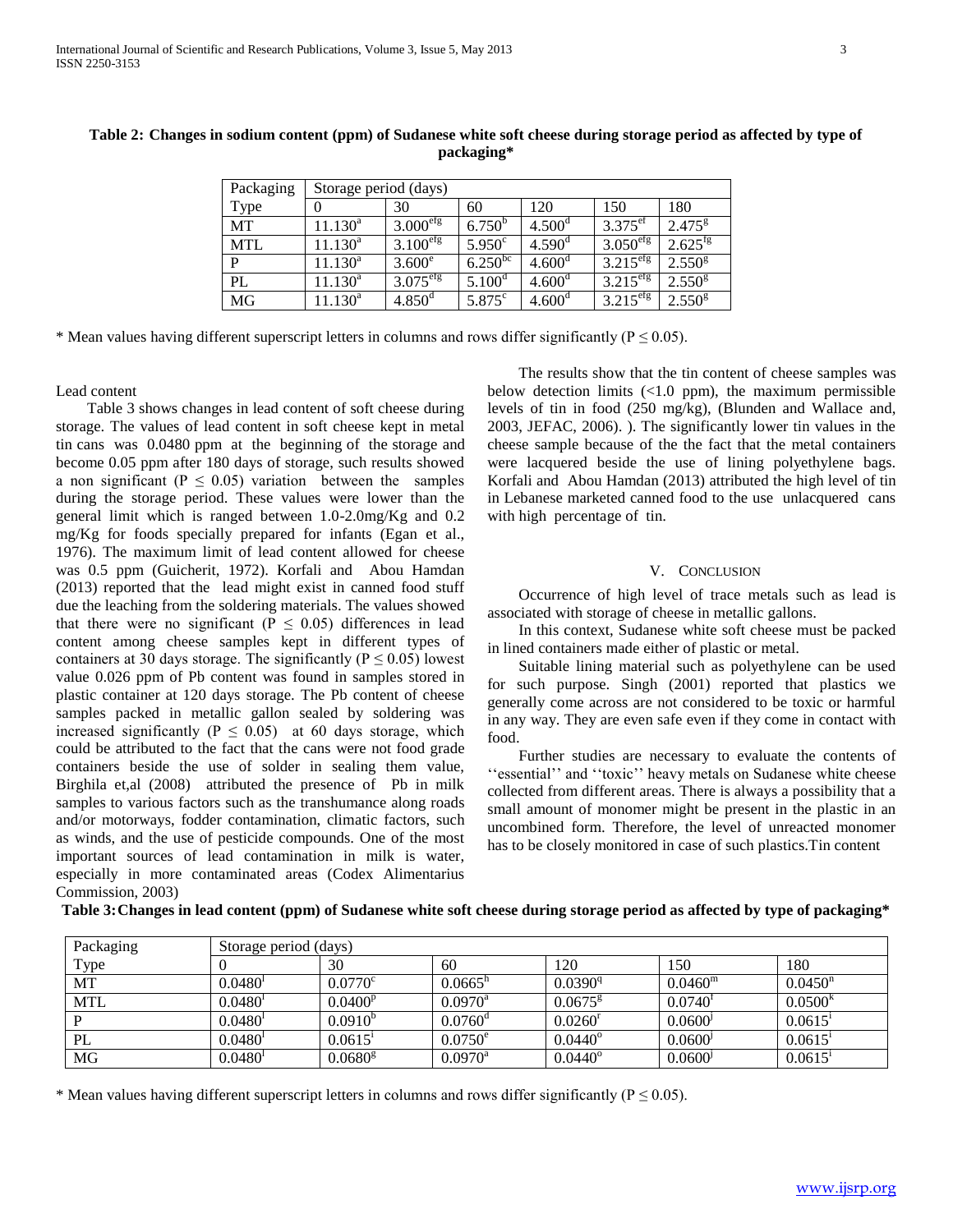| Packaging  | Storage period (days) |                      |                       |                      |                                 |                    |  |
|------------|-----------------------|----------------------|-----------------------|----------------------|---------------------------------|--------------------|--|
| Type       | $\theta$              | 30                   | 60                    | 120                  | 150                             | 180                |  |
| <b>MT</b>  | $11.130^a$            | 3.000 <sup>erg</sup> | $6.750^{b}$           | 4.500 <sup>d</sup>   | $3.375^{\text{ef}}$             | $2.475^{\rm g}$    |  |
| <b>MTL</b> | $11.130^a$            | 3.100 <sup>erg</sup> | 5.950 <sup>c</sup>    | $4.590$ <sup>d</sup> | $3.050$ <sup>efg</sup>          | $2.625^{fg}$       |  |
| P          | $11.130^a$            | $3.600^{\circ}$      | $6.250$ <sup>bc</sup> | 4.600 <sup>d</sup>   | $3.2\overline{15}^{\text{eff}}$ | 2.550 <sup>g</sup> |  |
| PL         | $11.130^a$            | 3.075 <sup>erg</sup> | 5.100 <sup>d</sup>    | 4.600 <sup>d</sup>   | $3.21\overline{5}^{\text{efg}}$ | 2.550 <sup>g</sup> |  |
| MG         | $11.130^a$            | $4.850^{\rm d}$      | $5.875$ <sup>c</sup>  | 4.600 <sup>d</sup>   | $3.215$ <sup>efg</sup>          | 2.550 <sup>g</sup> |  |

**Table 2: Changes in sodium content (ppm) of Sudanese white soft cheese during storage period as affected by type of packaging\***

\* Mean values having different superscript letters in columns and rows differ significantly ( $P \le 0.05$ ).

Lead content

 Table 3 shows changes in lead content of soft cheese during storage. The values of lead content in soft cheese kept in metal tin cans was 0.0480 ppm at the beginning of the storage and become 0.05 ppm after 180 days of storage, such results showed a non significant ( $P \leq 0.05$ ) variation between the samples during the storage period. These values were lower than the general limit which is ranged between 1.0-2.0mg/Kg and 0.2 mg/Kg for foods specially prepared for infants (Egan et al., 1976). The maximum limit of lead content allowed for cheese was 0.5 ppm (Guicherit, 1972). Korfali and Abou Hamdan (2013) reported that the lead might exist in canned food stuff due the leaching from the soldering materials. The values showed that there were no significant ( $P \le 0.05$ ) differences in lead content among cheese samples kept in different types of containers at 30 days storage. The significantly ( $P \le 0.05$ ) lowest value 0.026 ppm of Pb content was found in samples stored in plastic container at 120 days storage. The Pb content of cheese samples packed in metallic gallon sealed by soldering was increased significantly ( $P \leq 0.05$ ) at 60 days storage, which could be attributed to the fact that the cans were not food grade containers beside the use of solder in sealing them value, Birghila et,al (2008) attributed the presence of Pb in milk samples to various factors such as the transhumance along roads and/or motorways, fodder contamination, climatic factors, such as winds, and the use of pesticide compounds. One of the most important sources of lead contamination in milk is water, especially in more contaminated areas (Codex Alimentarius Commission, 2003)

 The results show that the tin content of cheese samples was below detection limits  $(1.0 \text{ ppm})$ , the maximum permissible levels of tin in food (250 mg/kg), (Blunden and Wallace and, 2003, JEFAC, 2006). ). The significantly lower tin values in the cheese sample because of the the fact that the metal containers were lacquered beside the use of lining polyethylene bags. Korfali and Abou Hamdan (2013) attributed the high level of tin in Lebanese marketed canned food to the use unlacquered cans with high percentage of tin.

#### V. CONCLUSION

 Occurrence of high level of trace metals such as lead is associated with storage of cheese in metallic gallons.

 In this context, Sudanese white soft cheese must be packed in lined containers made either of plastic or metal.

 Suitable lining material such as polyethylene can be used for such purpose. Singh (2001) reported that plastics we generally come across are not considered to be toxic or harmful in any way. They are even safe even if they come in contact with food.

 Further studies are necessary to evaluate the contents of "essential" and "toxic" heavy metals on Sudanese white cheese collected from different areas. There is always a possibility that a small amount of monomer might be present in the plastic in an uncombined form. Therefore, the level of unreacted monomer has to be closely monitored in case of such plastics.Tin content

| Packaging  | Storage period (days) |                  |                  |                  |                     |                       |  |
|------------|-----------------------|------------------|------------------|------------------|---------------------|-----------------------|--|
| Type       |                       | 30               | 60               | 120              | 150                 | 180                   |  |
| MT         | $0.0480^{1}$          | $0.0770^{\circ}$ | $0.0665^{n}$     | $0.0390^{q}$     | $0.0460^{\rm m}$    | $0.0450$ <sup>n</sup> |  |
| <b>MTL</b> | $0.0480^{1}$          | $0.0400^{p}$     | $0.0970^{\rm a}$ | $0.0675^{\rm g}$ | $0.0740^{1}$        | $0.0500^{k}$          |  |
|            | $0.0480^{1}$          | $0.0910^{6}$     | $0.0760^{\circ}$ | $0.0260^{r}$     | 0.0600 <sup>j</sup> | 0.0615                |  |
| PL         | $0.0480^{1}$          | $0.0615^1$       | $0.0750^{\circ}$ | $0.0440^{\circ}$ | 0.0600 <sup>j</sup> | 0.0615                |  |
| MG         | $0.0480^{1}$          | $0.0680^{8}$     | $0.0970^{\rm a}$ | $0.0440^{\circ}$ | 0.0600 <sup>j</sup> | $0.0615$ <sup>1</sup> |  |

**Table 3:Changes in lead content (ppm) of Sudanese white soft cheese during storage period as affected by type of packaging\***

\* Mean values having different superscript letters in columns and rows differ significantly ( $P \le 0.05$ ).